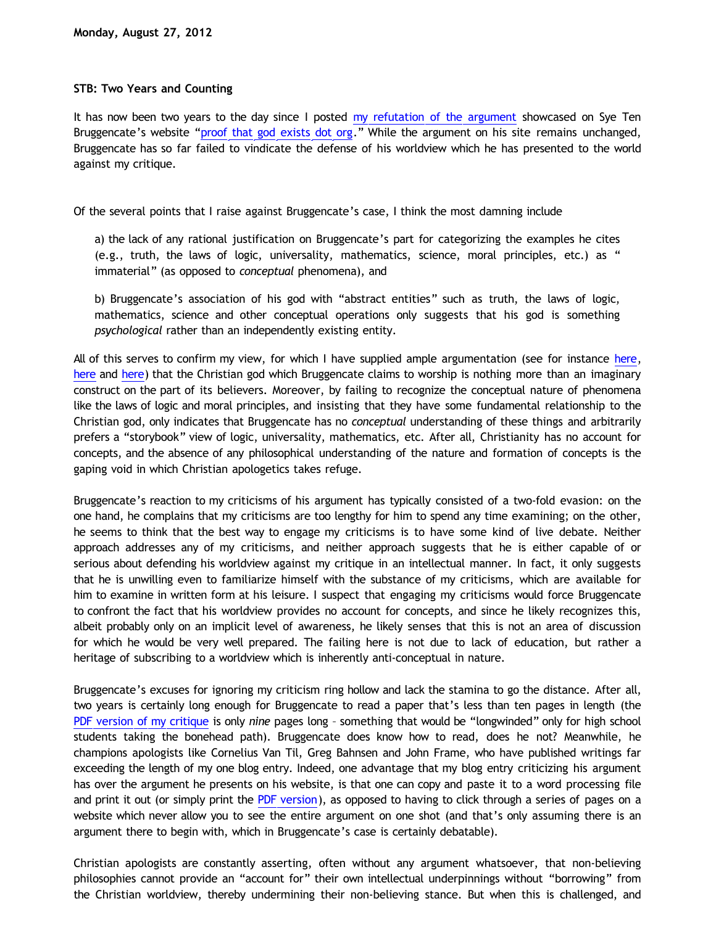## **STB: Two Years and Counting**

It has now been two years to the day since I posted [my refutation of the argument](http://bahnsenburner.blogspot.com/2010/08/critique-of-sye-ten-bruggencates.html) showcased on Sye Ten Bruggencate's website "[proof that god exists dot org](http://www.proofthatgodexists.org/)." While the argument on his site remains unchanged, Bruggencate has so far failed to vindicate the defense of his worldview which he has presented to the world against my critique.

Of the several points that I raise against Bruggencate's case, I think the most damning include

a) the lack of any rational justification on Bruggencate's part for categorizing the examples he cites (e.g., truth, the laws of logic, universality, mathematics, science, moral principles, etc.) as " immaterial" (as opposed to *conceptual* phenomena), and

b) Bruggencate's association of his god with "abstract entities" such as truth, the laws of logic, mathematics, science and other conceptual operations only suggests that his god is something *psychological* rather than an independently existing entity.

All of this serves to confirm my view, for which I have supplied ample argumentation (see for instance [here](http://bahnsenburner.blogspot.com/2010/05/imaginative-nature-of-christian-theism.html), [here](http://bahnsenburner.blogspot.com/2008/06/faith-as-hope-in-imaginary.html) and [here\)](http://bahnsenburner.blogspot.com/2011/04/imagine-theres-heaven_29.html) that the Christian god which Bruggencate claims to worship is nothing more than an imaginary construct on the part of its believers. Moreover, by failing to recognize the conceptual nature of phenomena like the laws of logic and moral principles, and insisting that they have some fundamental relationship to the Christian god, only indicates that Bruggencate has no *conceptual* understanding of these things and arbitrarily prefers a "storybook" view of logic, universality, mathematics, etc. After all, Christianity has no account for concepts, and the absence of any philosophical understanding of the nature and formation of concepts is the gaping void in which Christian apologetics takes refuge.

Bruggencate's reaction to my criticisms of his argument has typically consisted of a two-fold evasion: on the one hand, he complains that my criticisms are too lengthy for him to spend any time examining; on the other, he seems to think that the best way to engage my criticisms is to have some kind of live debate. Neither approach addresses any of my criticisms, and neither approach suggests that he is either capable of or serious about defending his worldview against my critique in an intellectual manner. In fact, it only suggests that he is unwilling even to familiarize himself with the substance of my criticisms, which are available for him to examine in written form at his leisure. I suspect that engaging my criticisms would force Bruggencate to confront the fact that his worldview provides no account for concepts, and since he likely recognizes this, albeit probably only on an implicit level of awareness, he likely senses that this is not an area of discussion for which he would be very well prepared. The failing here is not due to lack of education, but rather a heritage of subscribing to a worldview which is inherently anti-conceptual in nature.

Bruggencate's excuses for ignoring my criticism ring hollow and lack the stamina to go the distance. After all, two years is certainly long enough for Bruggencate to read a paper that's less than ten pages in length (the [PDF version of my critique](http://katholon.com/ip/A_Critique_of_Sye_Ten_Bruggencates_www.proofthatgodexists.org.pdf) is only *nine* pages long – something that would be "longwinded" only for high school students taking the bonehead path). Bruggencate does know how to read, does he not? Meanwhile, he champions apologists like Cornelius Van Til, Greg Bahnsen and John Frame, who have published writings far exceeding the length of my one blog entry. Indeed, one advantage that my blog entry criticizing his argument has over the argument he presents on his website, is that one can copy and paste it to a word processing file and print it out (or simply print the [PDF version](http://katholon.com/ip/A_Critique_of_Sye_Ten_Bruggencates_www.proofthatgodexists.org.pdf)), as opposed to having to click through a series of pages on a website which never allow you to see the entire argument on one shot (and that's only assuming there is an argument there to begin with, which in Bruggencate's case is certainly debatable).

Christian apologists are constantly asserting, often without any argument whatsoever, that non-believing philosophies cannot provide an "account for" their own intellectual underpinnings without "borrowing" from the Christian worldview, thereby undermining their non-believing stance. But when this is challenged, and